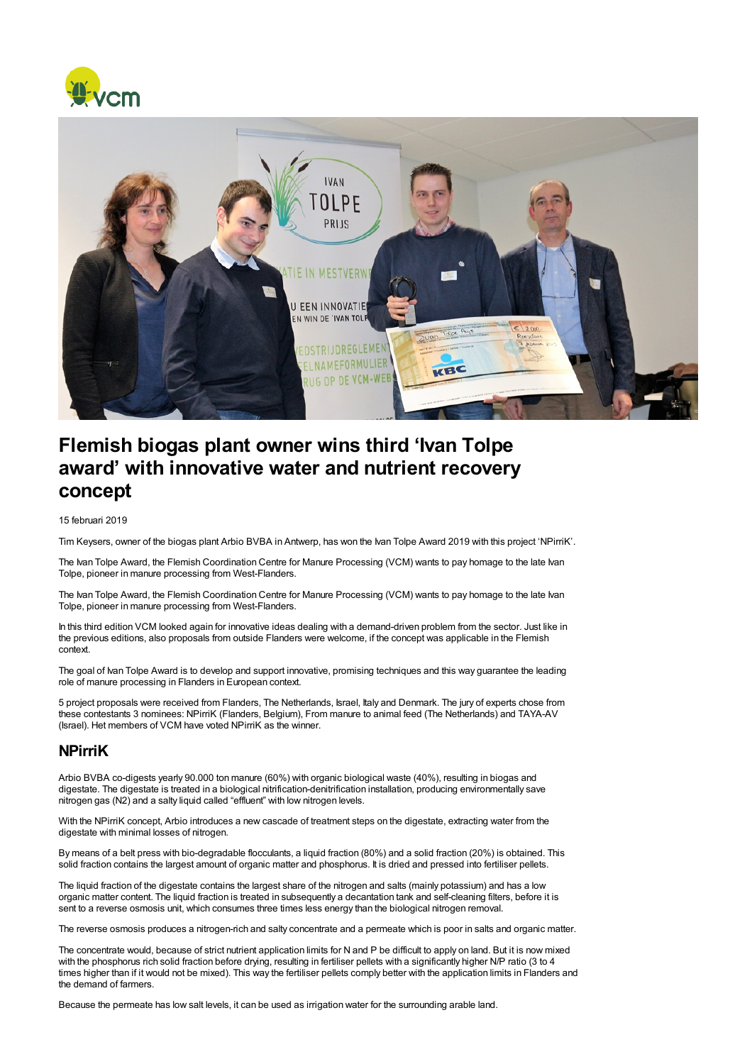



## Flemish biogas plant owner wins third 'Ivan Tolpe award' with innovative water and nutrient recovery concept

## 15 februari 2019

Tim Keysers, owner of the biogas plant Arbio BVBA in Antwerp, has won the Ivan Tolpe Award 2019 with this project 'NPirriK'.

The Ivan Tolpe Award, the Flemish Coordination Centre for Manure Processing (VCM) wants to pay homage to the late Ivan Tolpe, pioneer in manure processing from West-Flanders.

The Ivan Tolpe Award, the Flemish Coordination Centre for Manure Processing (VCM) wants to pay homage to the late Ivan Tolpe, pioneer in manure processing from West-Flanders.

In this third edition VCM looked again for innovative ideas dealing with a demand-driven problem from the sector. Just like in the previous editions, also proposals from outside Flanders were welcome, if the concept was applicable in the Flemish context.

The goal of Ivan Tolpe Award is to develop and support innovative, promising techniques and this way guarantee the leading role of manure processing in Flanders in European context.

5 project proposals were received from Flanders, The Netherlands, Israel, Italy and Denmark. The jury of experts chose from these contestants 3 nominees: NPirriK (Flanders, Belgium), From manure to animal feed (The Netherlands) and TAYA-AV (Israel). Het members of VCM have voted NPirriK as the winner.

## NPirriK

Arbio BVBA co-digests yearly 90.000 ton manure (60%) with organic biological waste (40%), resulting in biogas and digestate. The digestate is treated in a biological nitrification-denitrification installation, producing environmentally save nitrogen gas (N2) and a salty liquid called "effluent" with low nitrogen levels.

With the NPirriK concept, Arbio introduces a new cascade of treatment steps on the digestate, extracting water from the digestate with minimal losses of nitrogen.

By means of a belt press with bio-degradable flocculants, a liquid fraction (80%) and a solid fraction (20%) is obtained. This solid fraction contains the largest amount of organic matter and phosphorus. It is dried and pressed into fertiliser pellets.

The liquid fraction of the digestate contains the largest share of the nitrogen and salts (mainly potassium) and has a low organic matter content. The liquid fraction is treated in subsequently a decantation tank and self-cleaning filters, before it is sent to a reverse osmosis unit, which consumes three times less energy than the biological nitrogen removal.

The reverse osmosis produces a nitrogen-rich and salty concentrate and a permeate which is poor in salts and organic matter.

The concentrate would, because of strict nutrient application limits for N and P be difficult to apply on land. But it is now mixed with the phosphorus rich solid fraction before drying, resulting in fertiliser pellets with a significantly higher N/P ratio (3 to 4 times higher than if it would not be mixed). This way the fertiliser pellets comply better with the application limits in Flanders and the demand of farmers.

Because the permeate has low salt levels, it can be used as irrigation water for the surrounding arable land.